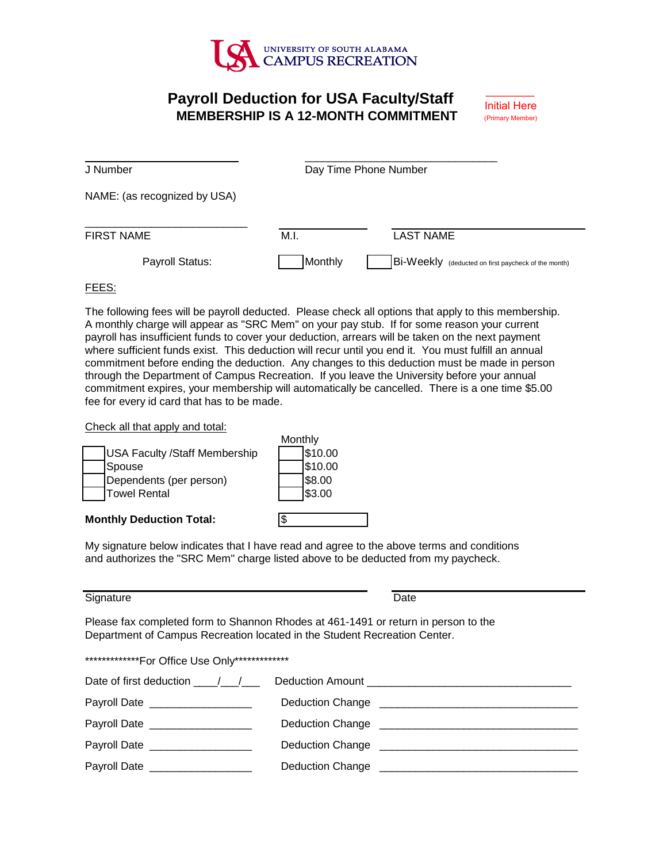

# **Payroll Deduction for USA Faculty/Staff Initial Here MEMBERSHIP IS A 12-MONTH COMMITMENT**

\_\_\_\_\_\_\_\_

| J Number                     |         | Day Time Phone Number                               |
|------------------------------|---------|-----------------------------------------------------|
| NAME: (as recognized by USA) |         |                                                     |
| FIRST NAME                   | M.I.    | <b>LAST NAME</b>                                    |
| Payroll Status:              | Monthly | Bi-Weekly (deducted on first paycheck of the month) |

## FEES:

 where sufficient funds exist. This deduction will recur until you end it. You must fulfill an annual The following fees will be payroll deducted. Please check all options that apply to this membership. A monthly charge will appear as "SRC Mem" on your pay stub. If for some reason your current payroll has insufficient funds to cover your deduction, arrears will be taken on the next payment commitment before ending the deduction. Any changes to this deduction must be made in person through the Department of Campus Recreation. If you leave the University before your annual commitment expires, your membership will automatically be cancelled. There is a one time \$5.00 fee for every id card that has to be made.

Check all that apply and total:

|                                      | Monthly |
|--------------------------------------|---------|
| <b>USA Faculty /Staff Membership</b> | \$10.00 |
| Spouse                               | \$10.00 |
| Dependents (per person)              | \$8.00  |
| <b>Towel Rental</b>                  | \$3.00  |
| <b>Monthly Deduction Total:</b>      |         |

My signature below indicates that I have read and agree to the above terms and conditions and authorizes the "SRC Mem" charge listed above to be deducted from my paycheck.

Monthly

### Signature Date

Please fax completed form to Shannon Rhodes at 461-1491 or return in person to the Department of Campus Recreation located in the Student Recreation Center.

| **************For Office Use Only************** |  |  |
|-------------------------------------------------|--|--|
|                                                 |  |  |

| Date of first deduction / /              |
|------------------------------------------|
| Deduction Change                         |
| <b>Deduction Change</b>                  |
|                                          |
| Deduction Change <b>Deduction</b> Change |
|                                          |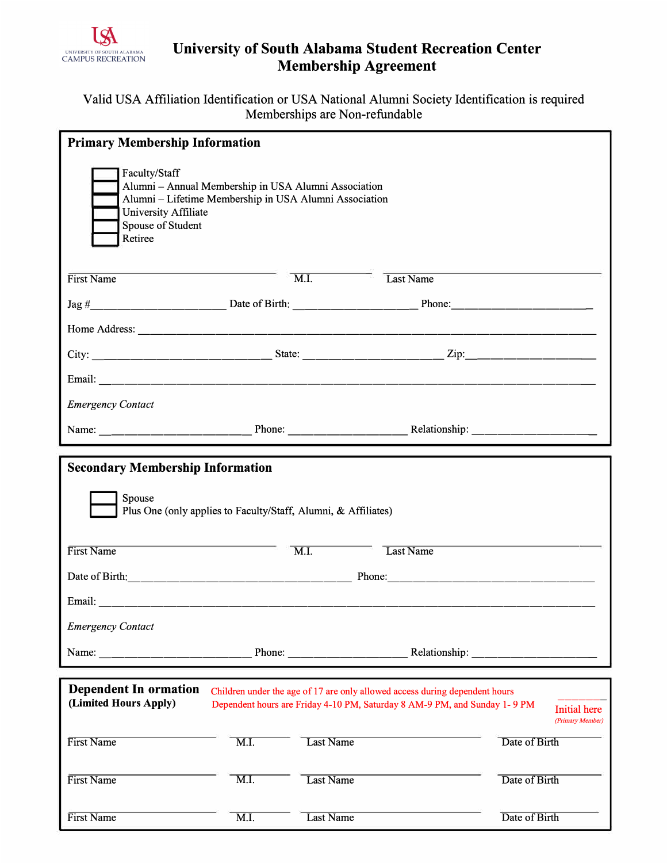

# **University of South Alabama Student Recreation Center Membership Agreement**

## Valid USA Affiliation Identification or USA National Alumni Society Identification is required Memberships are Non-refundable

|                                                                          | <b>Primary Membership Information</b>                                                                          |                  |                                                                                                                                                          |                                         |  |  |  |
|--------------------------------------------------------------------------|----------------------------------------------------------------------------------------------------------------|------------------|----------------------------------------------------------------------------------------------------------------------------------------------------------|-----------------------------------------|--|--|--|
| Faculty/Staff<br>University Affiliate<br>Spouse of Student<br>Retiree    | Alumni - Annual Membership in USA Alumni Association<br>Alumni - Lifetime Membership in USA Alumni Association |                  |                                                                                                                                                          |                                         |  |  |  |
| First Name                                                               |                                                                                                                | M.I.             | Last Name                                                                                                                                                |                                         |  |  |  |
|                                                                          |                                                                                                                |                  |                                                                                                                                                          |                                         |  |  |  |
|                                                                          |                                                                                                                |                  |                                                                                                                                                          |                                         |  |  |  |
|                                                                          |                                                                                                                |                  |                                                                                                                                                          |                                         |  |  |  |
|                                                                          |                                                                                                                |                  |                                                                                                                                                          |                                         |  |  |  |
| <b>Emergency Contact</b>                                                 |                                                                                                                |                  |                                                                                                                                                          |                                         |  |  |  |
|                                                                          |                                                                                                                |                  |                                                                                                                                                          |                                         |  |  |  |
| <b>Secondary Membership Information</b>                                  |                                                                                                                |                  |                                                                                                                                                          |                                         |  |  |  |
| Spouse<br>Plus One (only applies to Faculty/Staff, Alumni, & Affiliates) |                                                                                                                |                  |                                                                                                                                                          |                                         |  |  |  |
| First Name                                                               | $\overline{\mathrm{M.I.}}$                                                                                     |                  | Last Name                                                                                                                                                |                                         |  |  |  |
|                                                                          |                                                                                                                |                  |                                                                                                                                                          |                                         |  |  |  |
|                                                                          |                                                                                                                |                  |                                                                                                                                                          |                                         |  |  |  |
| <b>Emergency Contact</b>                                                 |                                                                                                                |                  |                                                                                                                                                          |                                         |  |  |  |
| Name: $\frac{1}{2}$                                                      |                                                                                                                | Phone:           |                                                                                                                                                          |                                         |  |  |  |
|                                                                          |                                                                                                                |                  |                                                                                                                                                          |                                         |  |  |  |
| <b>Dependent In ormation</b><br>(Limited Hours Apply)                    |                                                                                                                |                  | Children under the age of 17 are only allowed access during dependent hours<br>Dependent hours are Friday 4-10 PM, Saturday 8 AM-9 PM, and Sunday 1-9 PM | <b>Initial</b> here<br>(Primary Member) |  |  |  |
| First Name                                                               | $\overline{M.I.}$                                                                                              | Last Name        |                                                                                                                                                          | Date of Birth                           |  |  |  |
| First Name                                                               | $\overline{M.I.}$                                                                                              | <b>Last Name</b> |                                                                                                                                                          | Date of Birth                           |  |  |  |
| First Name                                                               | $\overline{M.I.}$                                                                                              | Last Name        |                                                                                                                                                          | Date of Birth                           |  |  |  |